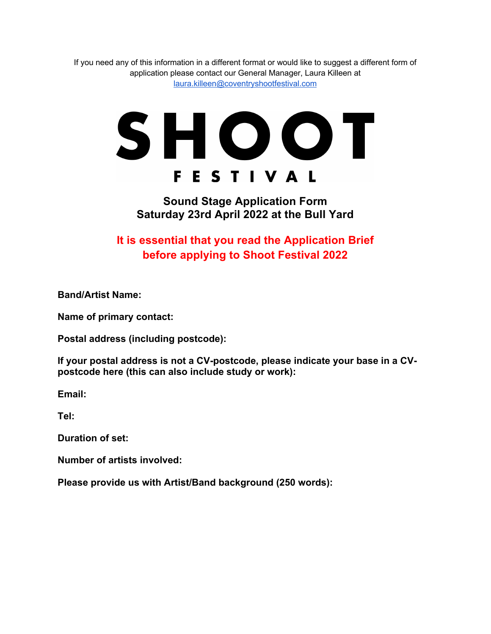If you need any of this information in a different format or would like to suggest a different form of application please contact our General Manager, Laura Killeen at laura.killeen@coventryshootfestival.com

## SHOOT **FESTIVAL**

## **Sound Stage Application Form Saturday 23rd April 2022 at the Bull Yard**

## **It is essential that you read the Application Brief before applying to Shoot Festival 2022**

**Band/Artist Name:**

**Name of primary contact:**

**Postal address (including postcode):**

**If your postal address is not a CV-postcode, please indicate your base in a CVpostcode here (this can also include study or work):**

**Email:**

**Tel:**

**Duration of set:**

**Number of artists involved:** 

**Please provide us with Artist/Band background (250 words):**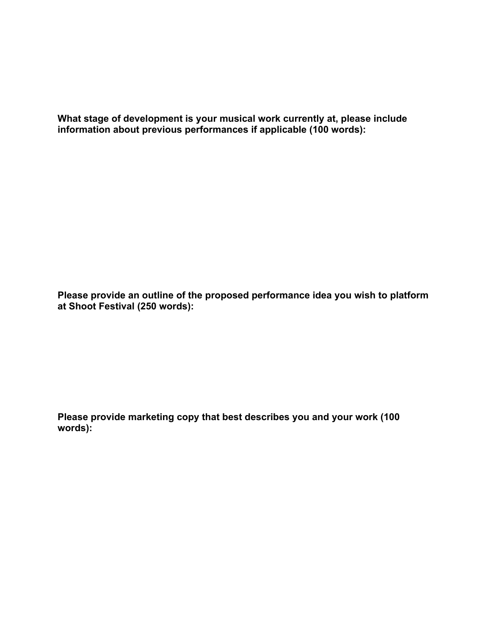**What stage of development is your musical work currently at, please include information about previous performances if applicable (100 words):**

**Please provide an outline of the proposed performance idea you wish to platform at Shoot Festival (250 words):**

**Please provide marketing copy that best describes you and your work (100 words):**